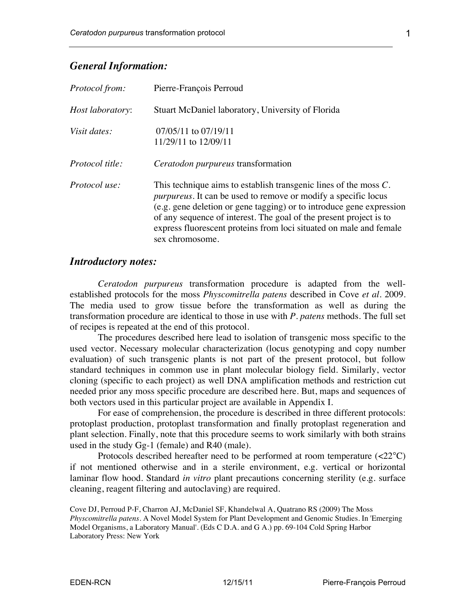### *General Information:*

| <i>Protocol from:</i>  | Pierre-François Perroud                                                                                                                                                                                                                                                                                                                                                              |
|------------------------|--------------------------------------------------------------------------------------------------------------------------------------------------------------------------------------------------------------------------------------------------------------------------------------------------------------------------------------------------------------------------------------|
| Host laboratory:       | Stuart McDaniel laboratory, University of Florida                                                                                                                                                                                                                                                                                                                                    |
| Visit dates:           | $07/05/11$ to $07/19/11$<br>11/29/11 to 12/09/11                                                                                                                                                                                                                                                                                                                                     |
| <i>Protocol title:</i> | <i>Ceratodon purpureus</i> transformation                                                                                                                                                                                                                                                                                                                                            |
| Protocol use:          | This technique aims to establish transgenic lines of the moss $C$ .<br><i>purpureus</i> . It can be used to remove or modify a specific locus<br>(e.g. gene deletion or gene tagging) or to introduce gene expression<br>of any sequence of interest. The goal of the present project is to<br>express fluorescent proteins from loci situated on male and female<br>sex chromosome. |

#### *Introductory notes:*

*Ceratodon purpureus* transformation procedure is adapted from the wellestablished protocols for the moss *Physcomitrella patens* described in Cove *et al.* 2009. The media used to grow tissue before the transformation as well as during the transformation procedure are identical to those in use with *P. patens* methods. The full set of recipes is repeated at the end of this protocol.

The procedures described here lead to isolation of transgenic moss specific to the used vector. Necessary molecular characterization (locus genotyping and copy number evaluation) of such transgenic plants is not part of the present protocol, but follow standard techniques in common use in plant molecular biology field. Similarly, vector cloning (specific to each project) as well DNA amplification methods and restriction cut needed prior any moss specific procedure are described here. But, maps and sequences of both vectors used in this particular project are available in Appendix I.

For ease of comprehension, the procedure is described in three different protocols: protoplast production, protoplast transformation and finally protoplast regeneration and plant selection. Finally, note that this procedure seems to work similarly with both strains used in the study Gg-1 (female) and R40 (male).

Protocols described hereafter need to be performed at room temperature  $(\langle 22^{\circ} \text{C} \rangle)$ if not mentioned otherwise and in a sterile environment, e.g. vertical or horizontal laminar flow hood. Standard *in vitro* plant precautions concerning sterility (e.g. surface cleaning, reagent filtering and autoclaving) are required.

Cove DJ, Perroud P-F, Charron AJ, McDaniel SF, Khandelwal A, Quatrano RS (2009) The Moss *Physcomitrella patens*. A Novel Model System for Plant Development and Genomic Studies. In 'Emerging Model Organisms, a Laboratory Manual'. (Eds C D.A. and G A.) pp. 69-104 Cold Spring Harbor Laboratory Press: New York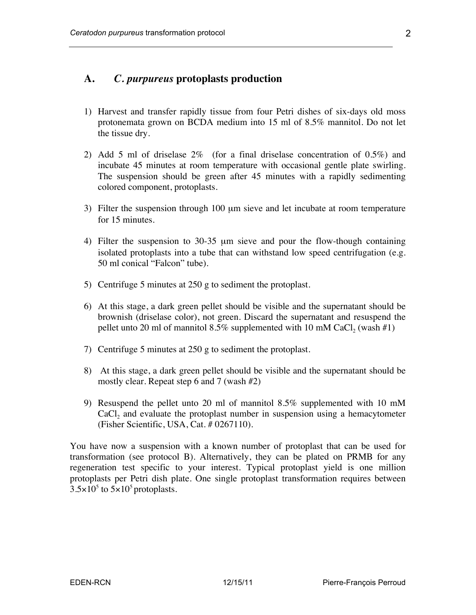# **A.** *C. purpureus* **protoplasts production**

- 1) Harvest and transfer rapidly tissue from four Petri dishes of six-days old moss protonemata grown on BCDA medium into 15 ml of 8.5% mannitol. Do not let the tissue dry.
- 2) Add 5 ml of driselase 2% (for a final driselase concentration of 0.5%) and incubate 45 minutes at room temperature with occasional gentle plate swirling. The suspension should be green after 45 minutes with a rapidly sedimenting colored component, protoplasts.
- 3) Filter the suspension through 100 µm sieve and let incubate at room temperature for 15 minutes.
- 4) Filter the suspension to 30-35 µm sieve and pour the flow-though containing isolated protoplasts into a tube that can withstand low speed centrifugation (e.g. 50 ml conical "Falcon" tube).
- 5) Centrifuge 5 minutes at 250 g to sediment the protoplast.
- 6) At this stage, a dark green pellet should be visible and the supernatant should be brownish (driselase color), not green. Discard the supernatant and resuspend the pellet unto 20 ml of mannitol  $8.5\%$  supplemented with 10 mM CaCl, (wash #1)
- 7) Centrifuge 5 minutes at 250 g to sediment the protoplast.
- 8) At this stage, a dark green pellet should be visible and the supernatant should be mostly clear. Repeat step 6 and 7 (wash #2)
- 9) Resuspend the pellet unto 20 ml of mannitol 8.5% supplemented with 10 mM CaCl<sub>2</sub> and evaluate the protoplast number in suspension using a hemacytometer (Fisher Scientific, USA, Cat. # 0267110).

You have now a suspension with a known number of protoplast that can be used for transformation (see protocol B). Alternatively, they can be plated on PRMB for any regeneration test specific to your interest. Typical protoplast yield is one million protoplasts per Petri dish plate. One single protoplast transformation requires between  $3.5\times10^{5}$  to  $5\times10^{5}$  protoplasts.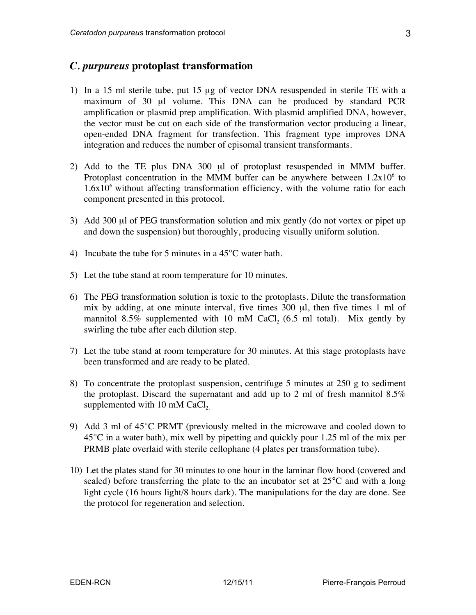# *C. purpureus* **protoplast transformation**

- 1) In a 15 ml sterile tube, put 15 µg of vector DNA resuspended in sterile TE with a maximum of 30 µl volume. This DNA can be produced by standard PCR amplification or plasmid prep amplification. With plasmid amplified DNA, however, the vector must be cut on each side of the transformation vector producing a linear, open-ended DNA fragment for transfection. This fragment type improves DNA integration and reduces the number of episomal transient transformants.
- 2) Add to the TE plus DNA 300 µl of protoplast resuspended in MMM buffer. Protoplast concentration in the MMM buffer can be anywhere between  $1.2x10^6$  to  $1.6x10<sup>6</sup>$  without affecting transformation efficiency, with the volume ratio for each component presented in this protocol.
- 3) Add 300 µl of PEG transformation solution and mix gently (do not vortex or pipet up and down the suspension) but thoroughly, producing visually uniform solution.
- 4) Incubate the tube for 5 minutes in a 45°C water bath.
- 5) Let the tube stand at room temperature for 10 minutes.
- 6) The PEG transformation solution is toxic to the protoplasts. Dilute the transformation mix by adding, at one minute interval, five times 300 µl, then five times 1 ml of mannitol 8.5% supplemented with 10 mM CaCl<sub>2</sub> (6.5 ml total). Mix gently by swirling the tube after each dilution step.
- 7) Let the tube stand at room temperature for 30 minutes. At this stage protoplasts have been transformed and are ready to be plated.
- 8) To concentrate the protoplast suspension, centrifuge 5 minutes at 250 g to sediment the protoplast. Discard the supernatant and add up to 2 ml of fresh mannitol  $8.5\%$ supplemented with  $10 \text{ mM }$  CaCl<sub>2</sub>.
- 9) Add 3 ml of 45°C PRMT (previously melted in the microwave and cooled down to 45°C in a water bath), mix well by pipetting and quickly pour 1.25 ml of the mix per PRMB plate overlaid with sterile cellophane (4 plates per transformation tube).
- 10) Let the plates stand for 30 minutes to one hour in the laminar flow hood (covered and sealed) before transferring the plate to the an incubator set at 25°C and with a long light cycle (16 hours light/8 hours dark). The manipulations for the day are done. See the protocol for regeneration and selection.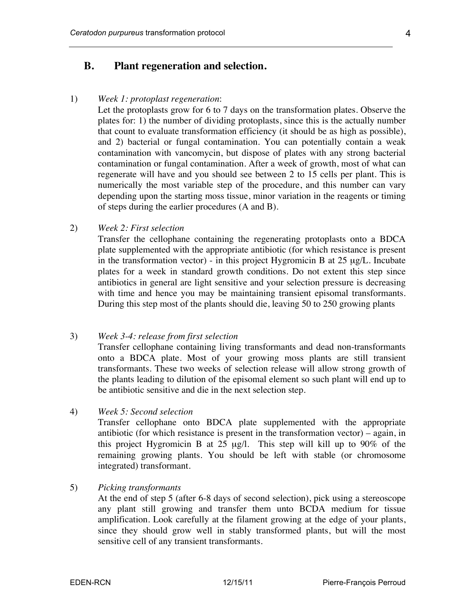## **B. Plant regeneration and selection.**

#### 1) *Week 1: protoplast regeneration*:

Let the protoplasts grow for 6 to 7 days on the transformation plates. Observe the plates for: 1) the number of dividing protoplasts, since this is the actually number that count to evaluate transformation efficiency (it should be as high as possible), and 2) bacterial or fungal contamination. You can potentially contain a weak contamination with vancomycin, but dispose of plates with any strong bacterial contamination or fungal contamination. After a week of growth, most of what can regenerate will have and you should see between 2 to 15 cells per plant. This is numerically the most variable step of the procedure, and this number can vary depending upon the starting moss tissue, minor variation in the reagents or timing of steps during the earlier procedures (A and B).

#### 2) *Week 2: First selection*

Transfer the cellophane containing the regenerating protoplasts onto a BDCA plate supplemented with the appropriate antibiotic (for which resistance is present in the transformation vector) - in this project Hygromicin B at  $25 \mu g/L$ . Incubate plates for a week in standard growth conditions. Do not extent this step since antibiotics in general are light sensitive and your selection pressure is decreasing with time and hence you may be maintaining transient episomal transformants. During this step most of the plants should die, leaving 50 to 250 growing plants

#### 3) *Week 3-4: release from first selection*

Transfer cellophane containing living transformants and dead non-transformants onto a BDCA plate. Most of your growing moss plants are still transient transformants. These two weeks of selection release will allow strong growth of the plants leading to dilution of the episomal element so such plant will end up to be antibiotic sensitive and die in the next selection step.

Transfer cellophane onto BDCA plate supplemented with the appropriate antibiotic (for which resistance is present in the transformation vector) – again, in this project Hygromicin B at 25 µg/l. This step will kill up to 90% of the remaining growing plants. You should be left with stable (or chromosome integrated) transformant.

5) *Picking transformants*

At the end of step 5 (after 6-8 days of second selection), pick using a stereoscope any plant still growing and transfer them unto BCDA medium for tissue amplification. Look carefully at the filament growing at the edge of your plants, since they should grow well in stably transformed plants, but will the most sensitive cell of any transient transformants.

<sup>4)</sup> *Week 5: Second selection*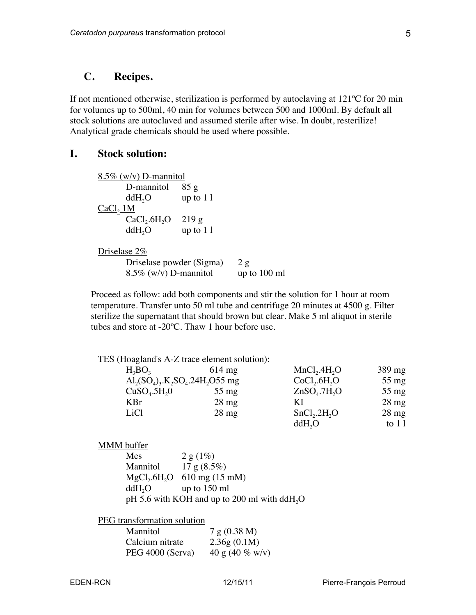## **C. Recipes.**

If not mentioned otherwise, sterilization is performed by autoclaving at 121ºC for 20 min for volumes up to 500ml, 40 min for volumes between 500 and 1000ml. By default all stock solutions are autoclaved and assumed sterile after wise. In doubt, resterilize! Analytical grade chemicals should be used where possible.

## **I. Stock solution:**

| $8.5\%$ (w/v) D-mannitol             |            |                |
|--------------------------------------|------------|----------------|
| D-mannitol                           | 85 g       |                |
| ddH <sub>2</sub> O                   | up to $11$ |                |
| CaCl <sub>2</sub> 1M                 |            |                |
| CaCl <sub>2</sub> .6H <sub>2</sub> O | 219g       |                |
| ddH <sub>2</sub> O                   | up to $11$ |                |
| Driselase 2%                         |            |                |
| Driselase powder (Sigma)             |            | 2g             |
| $8.5\%$ (w/v) D-mannitol             |            | up to $100$ ml |

Proceed as follow: add both components and stir the solution for 1 hour at room temperature. Transfer unto 50 ml tube and centrifuge 20 minutes at 4500 g. Filter sterilize the supernatant that should brown but clear. Make 5 ml aliquot in sterile tubes and store at -20ºC. Thaw 1 hour before use.

| $614 \text{ mg}$ | MnCl <sub>2</sub> .4H <sub>2</sub> O                                               | $389 \text{ mg}$                                    |
|------------------|------------------------------------------------------------------------------------|-----------------------------------------------------|
|                  | CoCl <sub>2</sub> .6H <sub>2</sub> O                                               | $55 \text{ mg}$                                     |
| $55 \text{ mg}$  | ZnSO <sub>4</sub> .7H <sub>2</sub> O                                               | $55 \text{ mg}$                                     |
| $28$ mg          | ΚI                                                                                 | $28 \text{ mg}$                                     |
| $28$ mg          | SnCl <sub>2</sub> .2H <sub>2</sub> O                                               | $28 \text{ mg}$                                     |
|                  | ddH <sub>2</sub> O                                                                 | to $11$                                             |
|                  | $Al_2(SO_4)$ <sub>3</sub> .K <sub>2</sub> SO <sub>4</sub> .24H <sub>2</sub> O55 mg | <u>TES (Hoagland's A-Z trace element solution):</u> |

#### MMM buffer

| Mes                | 2 g (1%)                                                 |
|--------------------|----------------------------------------------------------|
| Mannitol           | 17g(8.5%)                                                |
|                    | $MgCl2.6H2O$ 610 mg (15 mM)                              |
| ddH <sub>2</sub> O | up to $150$ ml                                           |
|                    | pH 5.6 with KOH and up to 200 ml with ddH <sub>2</sub> O |

PEG transformation solution

| <b>Mannitol</b>  | 7 g (0.38 M)       |
|------------------|--------------------|
| Calcium nitrate  | 2.36g(0.1M)        |
| PEG 4000 (Serva) | 40 g (40 $\%$ w/v) |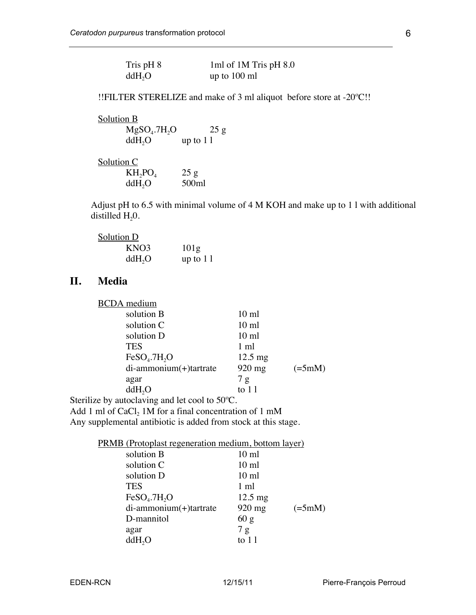| Tris pH 8          | 1ml of 1M Tris pH 8.0 |
|--------------------|-----------------------|
| ddH <sub>2</sub> O | up to $100$ ml        |

!!FILTER STERELIZE and make of 3 ml aliquot before store at -20ºC!!

| Solution B                           |            |
|--------------------------------------|------------|
| MgSO <sub>4</sub> .7H <sub>2</sub> O | 25g        |
| ddH <sub>2</sub> O                   | up to $11$ |
| Solution C                           |            |
| $KH_2PO_4$                           | 25 g       |
| ddH <sub>2</sub> O                   | 500ml      |

Adjust pH to 6.5 with minimal volume of 4 M KOH and make up to 1 l with additional distilled  $H_2$ 0.

| Solution D         |                  |
|--------------------|------------------|
| KNO3               | 101 <sub>g</sub> |
| ddH <sub>2</sub> O | up to $11$       |

# **II. Media**

| <b>BCDA</b> medium                   |                   |                   |
|--------------------------------------|-------------------|-------------------|
| solution B                           | $10 \text{ ml}$   |                   |
| solution C                           | $10 \text{ ml}$   |                   |
| solution D                           | $10 \text{ ml}$   |                   |
| <b>TES</b>                           | $1 \text{ ml}$    |                   |
| FeSO <sub>4</sub> .7H <sub>2</sub> O | $12.5 \text{ mg}$ |                   |
| di-ammonium(+)tartrate               | 920 mg            | $(=\frac{5}{mM})$ |
| agar                                 | 7g                |                   |
| ddH <sub>2</sub> O                   | to $11$           |                   |
|                                      |                   |                   |

Sterilize by autoclaving and let cool to 50ºC.

Add 1 ml of  $CaCl<sub>2</sub> 1M$  for a final concentration of 1 mM Any supplemental antibiotic is added from stock at this stage.

| <b>PRMB</b> (Protoplast regeneration medium, bottom layer) |                   |                   |
|------------------------------------------------------------|-------------------|-------------------|
| solution B                                                 | $10 \text{ ml}$   |                   |
| solution C                                                 | $10 \text{ ml}$   |                   |
| solution D                                                 | $10 \text{ ml}$   |                   |
| <b>TES</b>                                                 | 1 ml              |                   |
| FeSO <sub>4</sub> .7H <sub>2</sub> O                       | $12.5 \text{ mg}$ |                   |
| di-ammonium(+)tartrate                                     | 920 mg            | $(=\frac{5}{mM})$ |
| D-mannitol                                                 | 60 g              |                   |
| agar                                                       | 7 g               |                   |
| ddH <sub>2</sub> O                                         | to $11$           |                   |
|                                                            |                   |                   |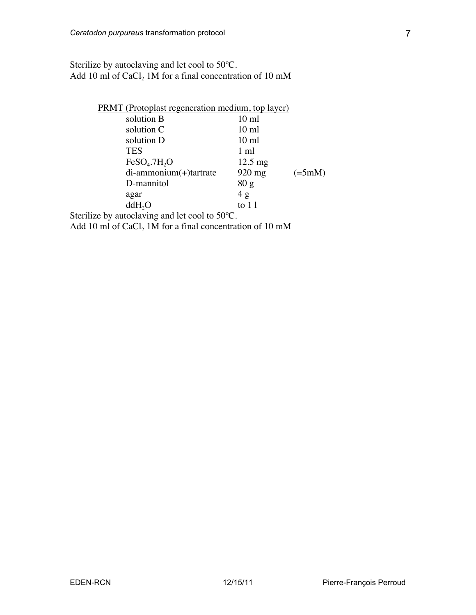Sterilize by autoclaving and let cool to 50ºC. Add 10 ml of CaCl<sub>2</sub> 1M for a final concentration of 10 mM

| <b>PRMT</b> (Protoplast regeneration medium, top layer)                                           |                   |                         |
|---------------------------------------------------------------------------------------------------|-------------------|-------------------------|
| solution B                                                                                        | $10 \text{ ml}$   |                         |
| solution C                                                                                        | $10 \text{ ml}$   |                         |
| solution D                                                                                        | $10 \text{ ml}$   |                         |
| <b>TES</b>                                                                                        | $1 \text{ ml}$    |                         |
| FeSO <sub>4</sub> .7H <sub>2</sub> O                                                              | $12.5 \text{ mg}$ |                         |
| di-ammonium(+)tartrate                                                                            | $920$ mg          | $(=\frac{5}{\text{m}})$ |
| D-mannitol                                                                                        | 80 g              |                         |
| agar                                                                                              | 4g                |                         |
| ddH <sub>2</sub> O                                                                                | to $11$           |                         |
| Sterilize by autoclaving and let cool to $50^{\circ}$ C.                                          |                   |                         |
| $\lambda$ 1110 1 CCC C11 A $\lambda$ C $\lambda$ C $\lambda$ 1 $\lambda$ C 10 $\lambda$ $\lambda$ |                   |                         |

Add 10 ml of  $CaCl<sub>2</sub> 1M$  for a final concentration of 10 mM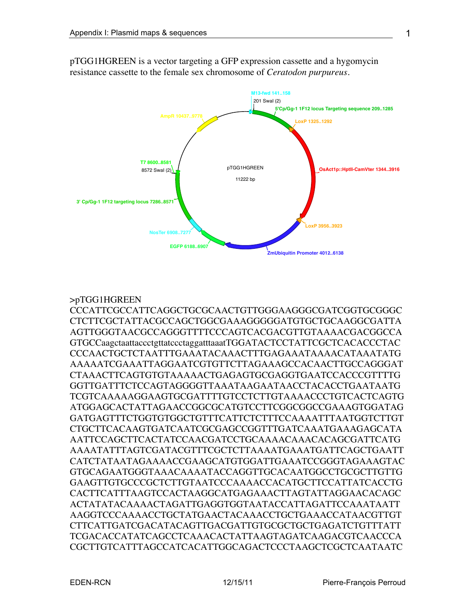

pTGG1HGREEN is a vector targeting a GFP expression cassette and a hygomycin resistance cassette to the female sex chromosome of *Ceratodon purpureus*.

### >pTGG1HGREEN

CCCATTCGCCATTCAGGCTGCGCAACTGTTGGGAAGGGCGATCGGTGCGGGC CTCTTCGCTATTACGCCAGCTGGCGAAAGGGGGATGTGCTGCAAGGCGATTA AGTTGGGTAACGCCAGGGTTTTCCCAGTCACGACGTTGTAAAACGACGGCCA GTGCCaagctaattaccctgttatccctaggatttaaatTGGATACTCCTATTCGCTCACACCCTAC CCCAACTGCTCTAATTTGAAATACAAACTTTGAGAAATAAAACATAAATATG AAAAATCGAAATTAGGAATCGTGTTCTTAGAAAGCCACAACTTGCCAGGGAT CTAAACTTCAGTGTGTAAAAACTGAGAGTGCGAGGTGAATCCACCCGTTTTG GGTTGATTTCTCCAGTAGGGGTTAAATAAGAATAACCTACACCTGAATAATG TCGTCAAAAAGGAAGTGCGATTTTGTCCTCTTGTAAAACCCTGTCACTCAGTG ATGGAGCACTATTAGAACCGGCGCATGTCCTTCGGCGGCCGAAAGTGGATAG GATGAGTTTCTGGTGTGGCTGTTTCATTCTCTTTCCAAAATTTAATGGTCTTGT CTGCTTCACAAGTGATCAATCGCGAGCCGGTTTGATCAAATGAAAGAGCATA AATTCCAGCTTCACTATCCAACGATCCTGCAAAACAAACACAGCGATTCATG AAAATATTTAGTCGATACGTTTCGCTCTTAAAATGAAATGATTCAGCTGAATT CATCTATAATAGAAAACCGAAGCATGTGGATTGAAATCCGGGTAGAAAGTAC GTGCAGAATGGGTAAACAAAATACCAGGTTGCACAATGGCCTGCGCTTGTTG GAAGTTGTGCCCGCTCTTGTAATCCCAAAACCACATGCTTCCATTATCACCTG CACTTCATTTAAGTCCACTAAGGCATGAGAAACTTAGTATTAGGAACACAGC ACTATATACAAAACTAGATTGAGGTGGTAATACCATTAGATTCCAAATAATT AAGGTCCCAAAACCTGCTATGAACTACAAACCTGCTGAAACCATAACGTTGT CTTCATTGATCGACATACAGTTGACGATTGTGCGCTGCTGAGATCTGTTTATT TCGACACCATATCAGCCTCAAACACTATTAAGTAGATCAAGACGTCAACCCA CGCTTGTCATTTAGCCATCACATTGGCAGACTCCCTAAGCTCGCTCAATAATC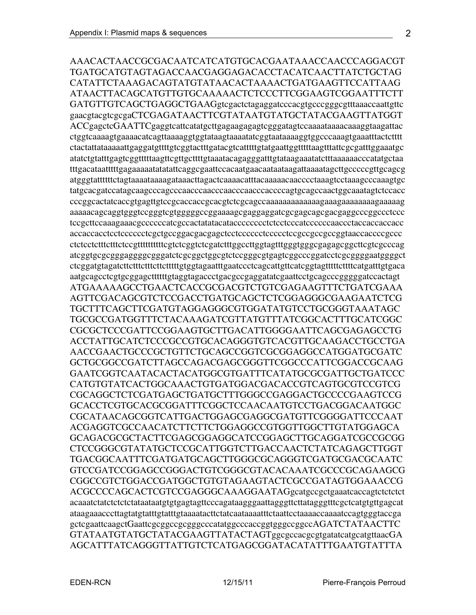AAACACTAACCGCGACAATCATCATGTGCACGAATAAACCAACCCAGGACGT TGATGCATGTAGTAGACCAACGAGGAGACACCTACATCAACTTATCTGCTAG CATATTCTAAAGACAGTATGTATAACACTAAAACTGATGAAGTTCCATTAAG ATAACTTACAGCATGTTGTGCAAAAACTCTCCCTTCGGAAGTCGGAATTTCTT GATGTTGTCAGCTGAGGCTGAAGgtcgactctagaggatcccacgtgcccgggcgtttaaaccaattgttc gaacgtacgtcgcgaCTCGAGATAACTTCGTATAATGTATGCTATACGAAGTTATGGT ACCgagctcGAATTCgaggtcattcatatgcttgagaagagagtcgggatagtccaaaataaaacaaaggtaagattac ctggtcaaaagtgaaaacatcagttaaaaggtggtataagtaaaatatcggtaataaaaggtggcccaaagtgaaatttactctttt ctactattataaaaattgaggatgttttgtcggtactttgatacgtcatttttgtatgaattggtttttaagtttattcgcgatttggaaatgc atatctgtatttgagtcggtttttaagttcgttgcttttgtaaatacagagggatttgtataagaaatatctttaaaaaacccatatgctaa tttgacataatttttgagaaaaatatatattcaggcgaattccacaatgaacaataataagattaaaatagcttgcccccgttgcagcg atgggtattttttctagtaaaataaaagataaacttagactcaaaacatttacaaaaacaacccctaaagtcctaaagcccaaagtgc tatgcacgatccatagcaagcccagcccaacccaacccaacccaacccaccccagtgcagccaactggcaaatagtctccacc cccggcactatcaccgtgagttgtccgcaccaccgcacgtctcgcagccaaaaaaaaaaaaagaaagaaaaaaaagaaaaag aaaaacagcaggtgggtccgggtcgtgggggccggaaaagcgaggaggatcgcgagcagcgacgaggcccggccctccc tccgcttccaaagaaacgccccccatcgccactatatacatacccccccctctcctcccatccccccaaccctaccaccaccacc accaccacctcctcccccctcgctgccggacgacgagctcctcccccctccccctccgccgccgccggtaaccaccccgccc ctctcctctttctttctccgttttttttttcgtctcggtctcgatctttggccttggtagtttgggtgggcgagagcggcttcgtcgcccag atcggtgcgcgggaggggcgggatctcgcggctggcgtctccgggcgtgagtcggcccggatcctcgcggggaatggggct ctcggatgtagatcttctttctttcttctttttgtggtagaatttgaatccctcagcattgttcatcggtagtttttcttttcatgatttgtgaca aatgcagcctcgtgcggagcttttttgtaggtagaccctgacgccgaggatatcgaattcctgcagcccgggggatccactagt ATGAAAAAGCCTGAACTCACCGCGACGTCTGTCGAGAAGTTTCTGATCGAAA AGTTCGACAGCGTCTCCGACCTGATGCAGCTCTCGGAGGGCGAAGAATCTCG TGCTTTCAGCTTCGATGTAGGAGGGCGTGGATATGTCCTGCGGGTAAATAGC TGCGCCGATGGTTTCTACAAAGATCGTTATGTTTATCGGCACTTTGCATCGGC CGCGCTCCCGATTCCGGAAGTGCTTGACATTGGGGAATTCAGCGAGAGCCTG ACCTATTGCATCTCCCGCCGTGCACAGGGTGTCACGTTGCAAGACCTGCCTGA

AACCGAACTGCCCGCTGTTCTGCAGCCGGTCGCGGAGGCCATGGATGCGATC GCTGCGGCCGATCTTAGCCAGACGAGCGGGTTCGGCCCATTCGGACCGCAAG GAATCGGTCAATACACTACATGGCGTGATTTCATATGCGCGATTGCTGATCCC CATGTGTATCACTGGCAAACTGTGATGGACGACACCGTCAGTGCGTCCGTCG CGCAGGCTCTCGATGAGCTGATGCTTTGGGCCGAGGACTGCCCCGAAGTCCG GCACCTCGTGCACGCGGATTTCGGCTCCAACAATGTCCTGACGGACAATGGC CGCATAACAGCGGTCATTGACTGGAGCGAGGCGATGTTCGGGGATTCCCAAT ACGAGGTCGCCAACATCTTCTTCTGGAGGCCGTGGTTGGCTTGTATGGAGCA GCAGACGCGCTACTTCGAGCGGAGGCATCCGGAGCTTGCAGGATCGCCGCGG CTCCGGGCGTATATGCTCCGCATTGGTCTTGACCAACTCTATCAGAGCTTGGT TGACGGCAATTTCGATGATGCAGCTTGGGCGCAGGGTCGATGCGACGCAATC GTCCGATCCGGAGCCGGGACTGTCGGGCGTACACAAATCGCCCGCAGAAGCG CGGCCGTCTGGACCGATGGCTGTGTAGAAGTACTCGCCGATAGTGGAAACCG ACGCCCCAGCACTCGTCCGAGGGCAAAGGAATAGgcatgccgctgaaatcaccagtctctctct acaaatctatctctctctataataatgtgtgagtagttcccagataagggaattagggttcttatagggtttcgctcatgtgttgagcat ataagaaacccttagtatgtatttgtatttgtaaaatacttctatcaataaaatttctaattcctaaaaccaaaatccagtgggtaccga gctcgaattcaagctGaattcgcggccgcgggcccatatggcccaccggtgggccggccAGATCTATAACTTC GTATAATGTATGCTATACGAAGTTATACTAGTggcgccacgcgtgatatcatgcatgttaacGA AGCATTTATCAGGGTTATTGTCTCATGAGCGGATACATATTTGAATGTATTTA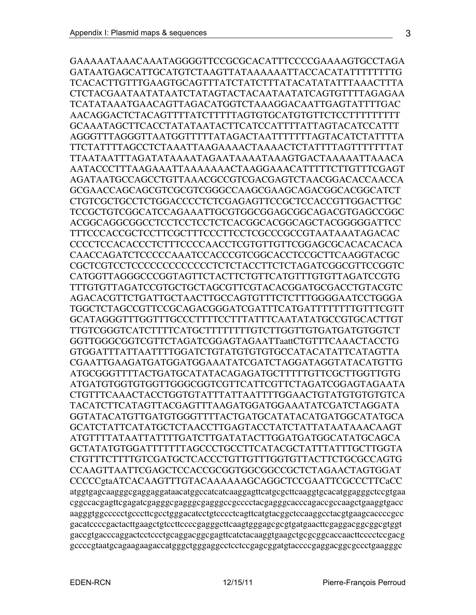GAAAAATAAACAAATAGGGGTTCCGCGCACATTTCCCCGAAAAGTGCCTAGA GATAATGAGCATTGCATGTCTAAGTTATAAAAAATTACCACATATTTTTTTTG TCACACTTGTTTGAAGTGCAGTTTATCTATCTTTATACATATATTTAAACTTTA CTCTACGAATAATATAATCTATAGTACTACAATAATATCAGTGTTTTAGAGAA TCATATAAATGAACAGTTAGACATGGTCTAAAGGACAATTGAGTATTTTGAC AACAGGACTCTACAGTTTTATCTTTTTAGTGTGCATGTGTTCTCCTTTTTTTTT GCAAATAGCTTCACCTATATAATACTTCATCCATTTTATTAGTACATCCATTT AGGGTTTAGGGTTAATGGTTTTTATAGACTAATTTTTTTAGTACATCTATTTTA TTCTATTTTAGCCTCTAAATTAAGAAAACTAAAACTCTATTTTAGTTTTTTTAT TTAATAATTTAGATATAAAATAGAATAAAATAAAGTGACTAAAAATTAAACA AATACCCTTTAAGAAATTAAAAAAACTAAGGAAACATTTTTCTTGTTTCGAGT AGATAATGCCAGCCTGTTAAACGCCGTCGACGAGTCTAACGGACACCAACCA GCGAACCAGCAGCGTCGCGTCGGGCCAAGCGAAGCAGACGGCACGGCATCT CTGTCGCTGCCTCTGGACCCCTCTCGAGAGTTCCGCTCCACCGTTGGACTTGC TCCGCTGTCGGCATCCAGAAATTGCGTGGCGGAGCGGCAGACGTGAGCCGGC ACGGCAGGCGGCCTCCTCCTCCTCTCACGGCACGGCAGCTACGGGGGATTCC TTTCCCACCGCTCCTTCGCTTTCCCTTCCTCGCCCGCCGTAATAAATAGACAC CCCCTCCACACCCTCTTTCCCCAACCTCGTGTTGTTCGGAGCGCACACACACA CAACCAGATCTCCCCCAAATCCACCCGTCGGCACCTCCGCTTCAAGGTACGC CGCTCGTCCTCCCCCCCCCCCCCTCTCTACCTTCTCTAGATCGGCGTTCCGGTC CATGGTTAGGGCCCGGTAGTTCTACTTCTGTTCATGTTTGTGTTAGATCCGTG TTTGTGTTAGATCCGTGCTGCTAGCGTTCGTACACGGATGCGACCTGTACGTC AGACACGTTCTGATTGCTAACTTGCCAGTGTTTCTCTTTGGGGAATCCTGGGA TGGCTCTAGCCGTTCCGCAGACGGGATCGATTTCATGATTTTTTTTGTTTCGTT GCATAGGGTTTGGTTTGCCCTTTTCCTTTATTTCAATATATGCCGTGCACTTGT TTGTCGGGTCATCTTTTCATGCTTTTTTTTGTCTTGGTTGTGATGATGTGGTCT GGTTGGGCGGTCGTTCTAGATCGGAGTAGAATTaattCTGTTTCAAACTACCTG GTGGATTTATTAATTTTGGATCTGTATGTGTGTGCCATACATATTCATAGTTA CGAATTGAAGATGATGGATGGAAATATCGATCTAGGATAGGTATACATGTTG ATGCGGGTTTTACTGATGCATATACAGAGATGCTTTTTGTTCGCTTGGTTGTG ATGATGTGGTGTGGTTGGGCGGTCGTTCATTCGTTCTAGATCGGAGTAGAATA CTGTTTCAAACTACCTGGTGTATTTATTAATTTTGGAACTGTATGTGTGTGTCA TACATCTTCATAGTTACGAGTTTAAGATGGATGGAAATATCGATCTAGGATA GGTATACATGTTGATGTGGGTTTTACTGATGCATATACATGATGGCATATGCA GCATCTATTCATATGCTCTAACCTTGAGTACCTATCTATTATAATAAACAAGT ATGTTTTATAATTATTTTGATCTTGATATACTTGGATGATGGCATATGCAGCA GCTATATGTGGATTTTTTTAGCCCTGCCTTCATACGCTATTTATTTGCTTGGTA CTGTTTCTTTTGTCGATGCTCACCCTGTTGTTTGGTGTTACTTCTGCGCCAGTG CCAAGTTAATTCGAGCTCCACCGCGGTGGCGGCCGCTCTAGAACTAGTGGAT CCCCCgtaATCACAAGTTTGTACAAAAAAGCAGGCTCCGAATTCGCCCTTCaCC atggtgagcaagggcgaggaggataacatggccatcatcaaggagttcatgcgcttcaaggtgcacatggagggctccgtgaa cggccacgagttcgagatcgagggcgagggcgagggccgcccctacgagggcacccagaccgccaagctgaaggtgacc aagggtggccccctgcccttcgcctgggacatcctgtcccctcagttcatgtacggctccaaggcctacgtgaagcaccccgcc gacatccccgactacttgaagctgtccttccccgagggcttcaagtgggagcgcgtgatgaacttcgaggacggcggcgtggt gaccgtgacccaggactcctccctgcaggacggcgagttcatctacaaggtgaagctgcgcggcaccaacttcccctccgacg gccccgtaatgcagaagaagaccatgggctgggaggcctcctccgagcggatgtaccccgaggacggcgccctgaagggc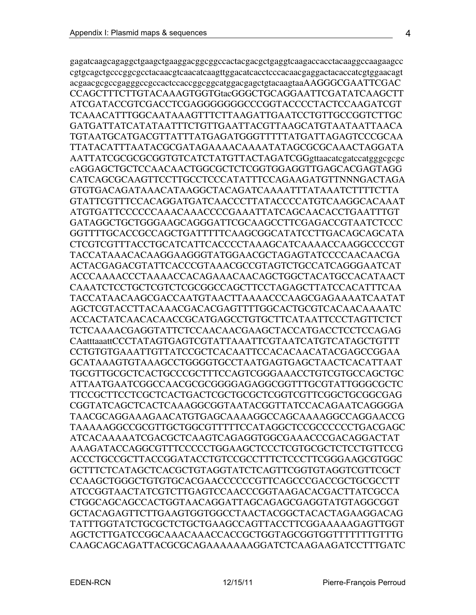gagatcaagcagaggctgaagctgaaggacggcggccactacgacgctgaggtcaagaccacctacaaggccaagaagcc cgtgcagctgcccggcgcctacaacgtcaacatcaagttggacatcacctcccacaacgaggactacaccatcgtggaacagt acgaacgcgccgagggccgccactccaccggcggcatggacgagctgtacaagtaaAAGGGCGAATTCGAC CCAGCTTTCTTGTACAAAGTGGTGtacGGGCTGCAGGAATTCGATATCAAGCTT ATCGATACCGTCGACCTCGAGGGGGGGCCCGGTACCCCTACTCCAAGATCGT TCAAACATTTGGCAATAAAGTTTCTTAAGATTGAATCCTGTTGCCGGTCTTGC GATGATTATCATATAATTTCTGTTGAATTACGTTAAGCATGTAATAATTAACA TGTAATGCATGACGTTATTTATGAGATGGGTTTTTATGATTAGAGTCCCGCAA TTATACATTTAATACGCGATAGAAAACAAAATATAGCGCGCAAACTAGGATA AATTATCGCGCGCGGTGTCATCTATGTTACTAGATCGGgttaacatcgatccatgggcgcgc cAGGAGCTGCTCCAACAACTGGCGCTCTCGGTGGAGGTTGAGCACGAGTAGG CATCAGCGCAAGTTCCTTGCCTCCCATATTTCCAGAAGATGTTNNNGACTAGA GTGTGACAGATAAACATAAGGCTACAGATCAAAATTTATAAATCTTTTCTTA GTATTCGTTTCCACAGGATGATCAACCCTTATACCCCATGTCAAGGCACAAAT ATGTGATTCCCCCCAAACAAACCCCGAAATTATCAGCAACACCTGAATTTGT GATAGGCTGCTGGGAAGCAGGGATTCGCAAGCCTTCGAGACCGTAATCTCCC GGTTTTGCACCGCCAGCTGATTTTTCAAGCGGCATATCCTTGACAGCAGCATA CTCGTCGTTTACCTGCATCATTCACCCCTAAAGCATCAAAACCAAGGCCCCGT TACCATAAACACAAGGAAGGGTATGGAACGCTAGAGTATCCCCAACAACGA ACTACGAGACGTATTCACCCGTAAACGCCGTAGTCTGCCATCAGGGAATCAT ACCCAAAACCCTAAAACCACAGAAACAACAGCTGGCTACATGCCACATAACT CAAATCTCCTGCTCGTCTCGCGGCCAGCTTCCTAGAGCTTATCCACATTTCAA TACCATAACAAGCGACCAATGTAACTTAAAACCCAAGCGAGAAAATCAATAT AGCTCGTACCTTACAAACGACACGAGTTTTGGCACTGCGTCACAACAAAATC ACCACTATCAACACAACCGCATGAGCCTGTGCTTCATAATTCCCTAGTTCTCT TCTCAAAACGAGGTATTCTCCAACAACGAAGCTACCATGACCTCCTCCAGAG CAatttaaattCCCTATAGTGAGTCGTATTAAATTCGTAATCATGTCATAGCTGTTT CCTGTGTGAAATTGTTATCCGCTCACAATTCCACACAACATACGAGCCGGAA GCATAAAGTGTAAAGCCTGGGGTGCCTAATGAGTGAGCTAACTCACATTAAT TGCGTTGCGCTCACTGCCCGCTTTCCAGTCGGGAAACCTGTCGTGCCAGCTGC ATTAATGAATCGGCCAACGCGCGGGGAGAGGCGGTTTGCGTATTGGGCGCTC TTCCGCTTCCTCGCTCACTGACTCGCTGCGCTCGGTCGTTCGGCTGCGGCGAG CGGTATCAGCTCACTCAAAGGCGGTAATACGGTTATCCACAGAATCAGGGGA TAACGCAGGAAAGAACATGTGAGCAAAAGGCCAGCAAAAGGCCAGGAACCG TAAAAAGGCCGCGTTGCTGGCGTTTTTCCATAGGCTCCGCCCCCCTGACGAGC ATCACAAAAATCGACGCTCAAGTCAGAGGTGGCGAAACCCGACAGGACTAT AAAGATACCAGGCGTTTCCCCCTGGAAGCTCCCTCGTGCGCTCTCCTGTTCCG ACCCTGCCGCTTACCGGATACCTGTCCGCCTTTCTCCCTTCGGGAAGCGTGGC GCTTTCTCATAGCTCACGCTGTAGGTATCTCAGTTCGGTGTAGGTCGTTCGCT CCAAGCTGGGCTGTGTGCACGAACCCCCCGTTCAGCCCGACCGCTGCGCCTT ATCCGGTAACTATCGTCTTGAGTCCAACCCGGTAAGACACGACTTATCGCCA CTGGCAGCAGCCACTGGTAACAGGATTAGCAGAGCGAGGTATGTAGGCGGT GCTACAGAGTTCTTGAAGTGGTGGCCTAACTACGGCTACACTAGAAGGACAG TATTTGGTATCTGCGCTCTGCTGAAGCCAGTTACCTTCGGAAAAAGAGTTGGT AGCTCTTGATCCGGCAAACAAACCACCGCTGGTAGCGGTGGTTTTTTTGTTTG CAAGCAGCAGATTACGCGCAGAAAAAAAGGATCTCAAGAAGATCCTTTGATC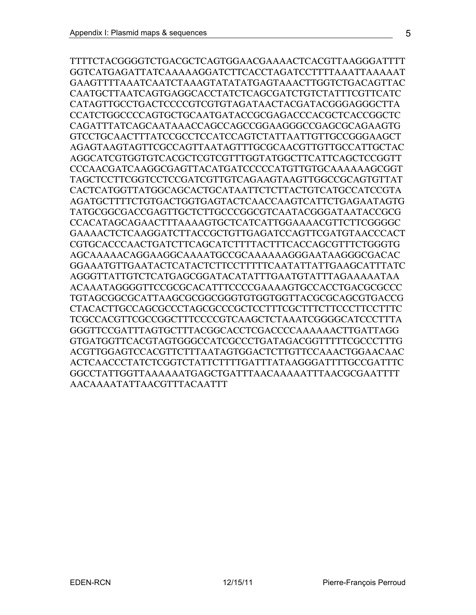TTTTCTACGGGGTCTGACGCTCAGTGGAACGAAAACTCACGTTAAGGGATTTT GGTCATGAGATTATCAAAAAGGATCTTCACCTAGATCCTTTTAAATTAAAAAT GAAGTTTTAAATCAATCTAAAGTATATATGAGTAAACTTGGTCTGACAGTTAC CAATGCTTAATCAGTGAGGCACCTATCTCAGCGATCTGTCTATTTCGTTCATC CATAGTTGCCTGACTCCCCGTCGTGTAGATAACTACGATACGGGAGGGCTTA CCATCTGGCCCCAGTGCTGCAATGATACCGCGAGACCCACGCTCACCGGCTC CAGATTTATCAGCAATAAACCAGCCAGCCGGAAGGGCCGAGCGCAGAAGTG GTCCTGCAACTTTATCCGCCTCCATCCAGTCTATTAATTGTTGCCGGGAAGCT AGAGTAAGTAGTTCGCCAGTTAATAGTTTGCGCAACGTTGTTGCCATTGCTAC AGGCATCGTGGTGTCACGCTCGTCGTTTGGTATGGCTTCATTCAGCTCCGGTT CCCAACGATCAAGGCGAGTTACATGATCCCCCATGTTGTGCAAAAAAGCGGT TAGCTCCTTCGGTCCTCCGATCGTTGTCAGAAGTAAGTTGGCCGCAGTGTTAT CACTCATGGTTATGGCAGCACTGCATAATTCTCTTACTGTCATGCCATCCGTA AGATGCTTTTCTGTGACTGGTGAGTACTCAACCAAGTCATTCTGAGAATAGTG TATGCGGCGACCGAGTTGCTCTTGCCCGGCGTCAATACGGGATAATACCGCG CCACATAGCAGAACTTTAAAAGTGCTCATCATTGGAAAACGTTCTTCGGGGC GAAAACTCTCAAGGATCTTACCGCTGTTGAGATCCAGTTCGATGTAACCCACT CGTGCACCCAACTGATCTTCAGCATCTTTTACTTTCACCAGCGTTTCTGGGTG AGCAAAAACAGGAAGGCAAAATGCCGCAAAAAAGGGAATAAGGGCGACAC GGAAATGTTGAATACTCATACTCTTCCTTTTTCAATATTATTGAAGCATTTATC AGGGTTATTGTCTCATGAGCGGATACATATTTGAATGTATTTAGAAAAATAA ACAAATAGGGGTTCCGCGCACATTTCCCCGAAAAGTGCCACCTGACGCGCCC TGTAGCGGCGCATTAAGCGCGGCGGGTGTGGTGGTTACGCGCAGCGTGACCG CTACACTTGCCAGCGCCCTAGCGCCCGCTCCTTTCGCTTTCTTCCCTTCCTTTC TCGCCACGTTCGCCGGCTTTCCCCGTCAAGCTCTAAATCGGGGCATCCCTTTA GGGTTCCGATTTAGTGCTTTACGGCACCTCGACCCCAAAAAACTTGATTAGG GTGATGGTTCACGTAGTGGGCCATCGCCCTGATAGACGGTTTTTCGCCCTTTG ACGTTGGAGTCCACGTTCTTTAATAGTGGACTCTTGTTCCAAACTGGAACAAC ACTCAACCCTATCTCGGTCTATTCTTTTGATTTATAAGGGATTTTGCCGATTTC GGCCTATTGGTTAAAAAATGAGCTGATTTAACAAAAATTTAACGCGAATTTT AACAAAATATTAACGTTTACAATTT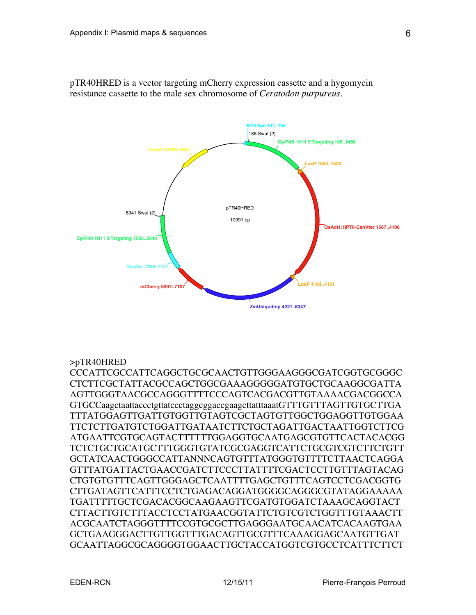

pTR40HRED is a vector targeting mCherry expression cassette and a hygomycin resistance cassette to the male sex chromosome of *Ceratodon purpureus.*

### >pTR40HRED

CCCATTCGCCATTCAGGCTGCGCAACTGTTGGGAAGGGCGATCGGTGCGGGC CTCTTCGCTATTACGCCAGCTGGCGAAAGGGGGATGTGCTGCAAGGCGATTA AGTTGGGTAACGCCAGGGTTTTCCCAGTCACGACGTTGTAAAACGACGGCCA GTGCCaagctaattaccctgttatccctaggcggaccgaagcttatttaaatGTTTGTTTAGTTGTGCTTGA TTTATGGAGTTGATTGTGGTTGTAGTCGCTAGTGTTGGCTGGAGGTTGTGGAA TTCTCTTGATGTCTGGATTGATAATCTTCTGCTAGATTGACTAATTGGTCTTCG ATGAATTCGTGCAGTACTTTTTTGGAGGTGCAATGAGCGTGTTCACTACACGG TCTCTGCTGCATGCTTTGGGTGTATCGCGAGGTCATTCTGCGTCGTCTTCTGTT GCTATCAACTGGGCCATTANNNCAGTGTTTATGGGTGTTTTCTTAACTCAGGA GTTTATGATTACTGAACCGATCTTCCCTTATTTTCGACTCCTTGTTTAGTACAG CTGTGTGTTTCAGTTGGGAGCTCAATTTTGAGCTGTTTCAGTCCTCGACGGTG CTTGATAGTTCATTTCCTCTGAGACAGGATGGGGCAGGGCGTATAGGAAAAA TGATTTTTGCTCGACACGGCAAGAAGTTCGATGTGGATCTAAAGCAGGTACT CTTACTTGTCTTTACCTCCTATGAACGGTATTCTGTCGTCTGGTTTGTAAACTT ACGCAATCTAGGGTTTTCCGTGCGCTTGAGGGAATGCAACATCACAAGTGAA GCTGAAGGGACTTGTTGGTTTGACAGTTGCGTTTCAAAGGAGCAATGTTGAT GCAATTAGGCGCAGGGGTGGAACTTGCTACCATGGTCGTGCCTCATTTCTTCT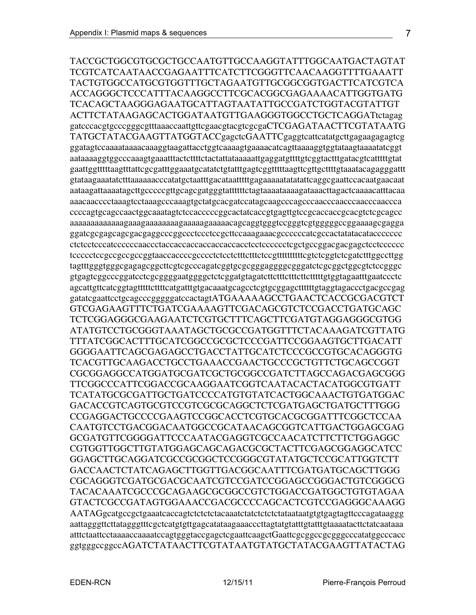TACCGCTGGCGTGCGCTGCCAATGTTGCCAAGGTATTTGGCAATGACTAGTAT TCGTCATCAATAACCGAGAATTTCATCTTCGGGTTCAACAAGGTTTTGAAATT TACTGTGGCCATGCGTGGTTTGCTAGAATGTTGCGGCGGTGACTTCATCGTCA ACCAGGGCTCCCATTTACAAGGCCTTCGCACGGCGAGAAAACATTGGTGATG TCACAGCTAAGGGAGAATGCATTAGTAATATTGCCGATCTGGTACGTATTGT ACTTCTATAAGAGCACTGGATAATGTTGAAGGGTGGCCTGCTCAGGATtctagag gatcccacgtgcccgggcgtttaaaccaattgttcgaacgtacgtcgcgaCTCGAGATAACTTCGTATAATG TATGCTATACGAAGTTATGGTACCgagctcGAATTCgaggtcattcatatgcttgagaagagagtcg ggatagtccaaaataaaacaaaggtaagattacctggtcaaaagtgaaaacatcagttaaaaggtggtataagtaaaatatcggt aataaaaggtggcccaaagtgaaatttactcttttctactattataaaaattgaggatgttttgtcggtactttgatacgtcatttttgtat gaattggtttttaagtttattcgcgatttggaaatgcatatctgtatttgagtcggtttttaagttcgttgcttttgtaaatacagagggattt gtataagaaatatctttaaaaaacccatatgctaatttgacataatttttgagaaaaatatatattcaggcgaattccacaatgaacaat aataagattaaaatagcttgcccccgttgcagcgatgggtattttttctagtaaaataaaagataaacttagactcaaaacatttacaa aaacaacccctaaagtcctaaagcccaaagtgctatgcacgatccatagcaagcccagcccaacccaacccaacccaaccca ccccagtgcagccaactggcaaatagtctccacccccggcactatcaccgtgagttgtccgcaccaccgcacgtctcgcagcc aaaaaaaaaaaaagaaagaaaaaaaagaaaaagaaaaacagcaggtgggtccgggtcgtgggggccggaaaagcgagga ggatcgcgagcagcgacgaggcccggccctccctccgcttccaaagaaacgccccccatcgccactatatacataccccccc ctctcctcccatccccccaaccctaccaccaccaccaccaccacctcctcccccctcgctgccggacgacgagctcctcccccc tccccctccgccgccgccggtaaccaccccgcccctctcctctttctttctccgttttttttttcgtctcggtctcgatctttggccttgg tagtttgggtgggcgagagcggcttcgtcgcccagatcggtgcgcgggaggggcgggatctcgcggctggcgtctccgggc gtgagtcggcccggatcctcgcggggaatggggctctcggatgtagatcttctttctttcttctttttgtggtagaatttgaatccctc agcattgttcatcggtagtttttcttttcatgatttgtgacaaatgcagcctcgtgcggagcttttttgtaggtagaccctgacgccgag gatatcgaattcctgcagcccgggggatccactagtATGAAAAAGCCTGAACTCACCGCGACGTCT GTCGAGAAGTTTCTGATCGAAAAGTTCGACAGCGTCTCCGACCTGATGCAGC TCTCGGAGGGCGAAGAATCTCGTGCTTTCAGCTTCGATGTAGGAGGGCGTGG ATATGTCCTGCGGGTAAATAGCTGCGCCGATGGTTTCTACAAAGATCGTTATG TTTATCGGCACTTTGCATCGGCCGCGCTCCCGATTCCGGAAGTGCTTGACATT GGGGAATTCAGCGAGAGCCTGACCTATTGCATCTCCCGCCGTGCACAGGGTG TCACGTTGCAAGACCTGCCTGAAACCGAACTGCCCGCTGTTCTGCAGCCGGT CGCGGAGGCCATGGATGCGATCGCTGCGGCCGATCTTAGCCAGACGAGCGGG TTCGGCCCATTCGGACCGCAAGGAATCGGTCAATACACTACATGGCGTGATT TCATATGCGCGATTGCTGATCCCCATGTGTATCACTGGCAAACTGTGATGGAC GACACCGTCAGTGCGTCCGTCGCGCAGGCTCTCGATGAGCTGATGCTTTGGG CCGAGGACTGCCCCGAAGTCCGGCACCTCGTGCACGCGGATTTCGGCTCCAA CAATGTCCTGACGGACAATGGCCGCATAACAGCGGTCATTGACTGGAGCGAG GCGATGTTCGGGGATTCCCAATACGAGGTCGCCAACATCTTCTTCTGGAGGC CGTGGTTGGCTTGTATGGAGCAGCAGACGCGCTACTTCGAGCGGAGGCATCC GGAGCTTGCAGGATCGCCGCGGCTCCGGGCGTATATGCTCCGCATTGGTCTT GACCAACTCTATCAGAGCTTGGTTGACGGCAATTTCGATGATGCAGCTTGGG CGCAGGGTCGATGCGACGCAATCGTCCGATCCGGAGCCGGGACTGTCGGGCG TACACAAATCGCCCGCAGAAGCGCGGCCGTCTGGACCGATGGCTGTGTAGAA GTACTCGCCGATAGTGGAAACCGACGCCCCAGCACTCGTCCGAGGGCAAAGG AATAGgcatgccgctgaaatcaccagtctctctctacaaatctatctctctctataataatgtgtgagtagttcccagataaggg aattagggttcttatagggtttcgctcatgtgttgagcatataagaaacccttagtatgtatttgtatttgtaaaatacttctatcaataaa atttctaattcctaaaaccaaaatccagtgggtaccgagctcgaattcaagctGaattcgcggccgcgggcccatatggcccacc ggtgggccggccAGATCTATAACTTCGTATAATGTATGCTATACGAAGTTATACTAG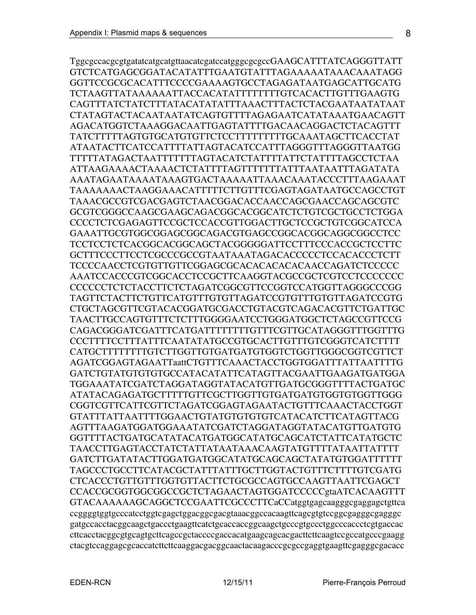TggcgccacgcgtgatatcatgcatgttaacatcgatccatgggcgcgccGAAGCATTTATCAGGGTTATT GTCTCATGAGCGGATACATATTTGAATGTATTTAGAAAAATAAACAAATAGG GGTTCCGCGCACATTTCCCCGAAAAGTGCCTAGAGATAATGAGCATTGCATG TCTAAGTTATAAAAAATTACCACATATTTTTTTTGTCACACTTGTTTGAAGTG CAGTTTATCTATCTTTATACATATATTTAAACTTTACTCTACGAATAATATAAT CTATAGTACTACAATAATATCAGTGTTTTAGAGAATCATATAAATGAACAGTT AGACATGGTCTAAAGGACAATTGAGTATTTTGACAACAGGACTCTACAGTTT TATCTTTTTAGTGTGCATGTGTTCTCCTTTTTTTTTGCAAATAGCTTCACCTAT ATAATACTTCATCCATTTTATTAGTACATCCATTTAGGGTTTAGGGTTAATGG TTTTTATAGACTAATTTTTTTAGTACATCTATTTTATTCTATTTTAGCCTCTAA ATTAAGAAAACTAAAACTCTATTTTAGTTTTTTTATTTAATAATTTAGATATA AAATAGAATAAAATAAAGTGACTAAAAATTAAACAAATACCCTTTAAGAAAT TAAAAAAACTAAGGAAACATTTTTCTTGTTTCGAGTAGATAATGCCAGCCTGT TAAACGCCGTCGACGAGTCTAACGGACACCAACCAGCGAACCAGCAGCGTC GCGTCGGGCCAAGCGAAGCAGACGGCACGGCATCTCTGTCGCTGCCTCTGGA CCCCTCTCGAGAGTTCCGCTCCACCGTTGGACTTGCTCCGCTGTCGGCATCCA GAAATTGCGTGGCGGAGCGGCAGACGTGAGCCGGCACGGCAGGCGGCCTCC TCCTCCTCTCACGGCACGGCAGCTACGGGGGATTCCTTTCCCACCGCTCCTTC GCTTTCCCTTCCTCGCCCGCCGTAATAAATAGACACCCCCTCCACACCCTCTT TCCCCAACCTCGTGTTGTTCGGAGCGCACACACACACAACCAGATCTCCCCC AAATCCACCCGTCGGCACCTCCGCTTCAAGGTACGCCGCTCGTCCTCCCCCCC CCCCCCTCTCTACCTTCTCTAGATCGGCGTTCCGGTCCATGGTTAGGGCCCGG TAGTTCTACTTCTGTTCATGTTTGTGTTAGATCCGTGTTTGTGTTAGATCCGTG CTGCTAGCGTTCGTACACGGATGCGACCTGTACGTCAGACACGTTCTGATTGC TAACTTGCCAGTGTTTCTCTTTGGGGAATCCTGGGATGGCTCTAGCCGTTCCG CAGACGGGATCGATTTCATGATTTTTTTTGTTTCGTTGCATAGGGTTTGGTTTG CCCTTTTCCTTTATTTCAATATATGCCGTGCACTTGTTTGTCGGGTCATCTTTT CATGCTTTTTTTTGTCTTGGTTGTGATGATGTGGTCTGGTTGGGCGGTCGTTCT AGATCGGAGTAGAATTaattCTGTTTCAAACTACCTGGTGGATTTATTAATTTTG GATCTGTATGTGTGTGCCATACATATTCATAGTTACGAATTGAAGATGATGGA TGGAAATATCGATCTAGGATAGGTATACATGTTGATGCGGGTTTTACTGATGC ATATACAGAGATGCTTTTTGTTCGCTTGGTTGTGATGATGTGGTGTGGTTGGG CGGTCGTTCATTCGTTCTAGATCGGAGTAGAATACTGTTTCAAACTACCTGGT GTATTTATTAATTTTGGAACTGTATGTGTGTGTCATACATCTTCATAGTTACG AGTTTAAGATGGATGGAAATATCGATCTAGGATAGGTATACATGTTGATGTG GGTTTTACTGATGCATATACATGATGGCATATGCAGCATCTATTCATATGCTC TAACCTTGAGTACCTATCTATTATAATAAACAAGTATGTTTTATAATTATTTT GATCTTGATATACTTGGATGATGGCATATGCAGCAGCTATATGTGGATTTTTT TAGCCCTGCCTTCATACGCTATTTATTTGCTTGGTACTGTTTCTTTTGTCGATG CTCACCCTGTTGTTTGGTGTTACTTCTGCGCCAGTGCCAAGTTAATTCGAGCT CCACCGCGGTGGCGGCCGCTCTAGAACTAGTGGATCCCCCgtaATCACAAGTTT GTACAAAAAAGCAGGCTCCGAATTCGCCCTTCaCCatggtgagcaagggcgaggagctgttca ccggggtggtgcccatcctggtcgagctggacggcgacgtaaacggccacaagttcagcgtgtccggcgagggcgagggc gatgccacctacggcaagctgaccctgaagttcatctgcaccaccggcaagctgcccgtgccctggcccaccctcgtgaccac cttcacctacggcgtgcagtgcttcagccgctaccccgaccacatgaagcagcacgacttcttcaagtccgccatgcccgaagg ctacgtccaggagcgcaccatcttcttcaaggacgacggcaactacaagacccgcgccgaggtgaagttcgagggcgacacc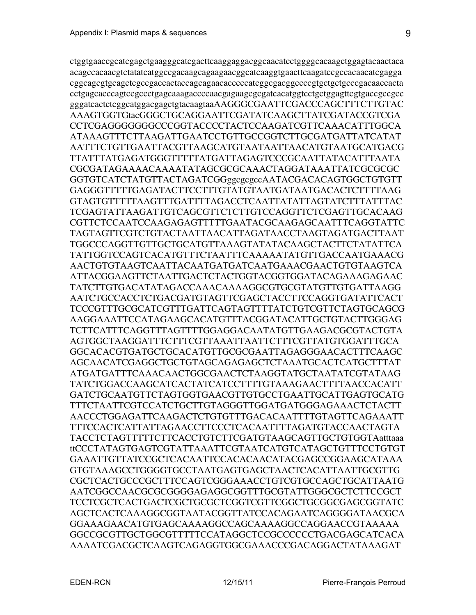ctggtgaaccgcatcgagctgaagggcatcgacttcaaggaggacggcaacatcctggggcacaagctggagtacaactaca acagccacaacgtctatatcatggccgacaagcagaagaacggcatcaaggtgaacttcaagatccgccacaacatcgagga cggcagcgtgcagctcgccgaccactaccagcagaacacccccatcggcgacggccccgtgctgctgcccgacaaccacta cctgagcacccagtccgccctgagcaaagaccccaacgagaagcgcgatcacatggtcctgctggagttcgtgaccgccgcc gggatcactctcggcatggacgagctgtacaagtaaAAGGGCGAATTCGACCCAGCTTTCTTGTAC AAAGTGGTGtacGGGCTGCAGGAATTCGATATCAAGCTTATCGATACCGTCGA CCTCGAGGGGGGGCCCGGTACCCCTACTCCAAGATCGTTCAAACATTTGGCA ATAAAGTTTCTTAAGATTGAATCCTGTTGCCGGTCTTGCGATGATTATCATAT AATTTCTGTTGAATTACGTTAAGCATGTAATAATTAACATGTAATGCATGACG TTATTTATGAGATGGGTTTTTATGATTAGAGTCCCGCAATTATACATTTAATA CGCGATAGAAAACAAAATATAGCGCGCAAACTAGGATAAATTATCGCGCGC GGTGTCATCTATGTTACTAGATCGGggcgcgccAATACGACACAGTGGCTGTGTT GAGGGTTTTTGAGATACTTCCTTTGTATGTAATGATAATGACACTCTTTTAAG GTAGTGTTTTTAAGTTTGATTTTAGACCTCAATTATATTAGTATCTTTATTTAC TCGAGTATTAAGATTGTCAGCGTTCTCTTGTCCAGGTTCTCGAGTTGCACAAG CGTTCTCCAATCCAAGAGAGTTTTTGAATACGCAAGAGCAATTTCAGGTATTC TAGTAGTTCGTCTGTACTAATTAACATTAGATAACCTAAGTAGATGACTTAAT TGGCCCAGGTTGTTGCTGCATGTTAAAGTATATACAAGCTACTTCTATATTCA TATTGGTCCAGTCACATGTTTCTAATTTCAAAAATATGTTGACCAATGAAACG AACTGTGTAAGTCAATTACAATGATGATCAATGAAACGAACTGTGTAAGTCA ATTACGGAAGTTCTAATTGACTCTACTGGTACGGTGGATACAGAAAGAGAAC TATCTTGTGACATATAGACCAAACAAAAGGCGTGCGTATGTTGTGATTAAGG AATCTGCCACCTCTGACGATGTAGTTCGAGCTACCTTCCAGGTGATATTCACT TCCCGTTTGCGCATCGTTTGATTCAGTAGTTTTATCTGTCGTTCTAGTGCAGCG AAGGAAATTCCATAGAAGCACATGTTTACGGATACATTGCTGTACTTGGGAG TCTTCATTTCAGGTTTAGTTTTGGAGGACAATATGTTGAAGACGCGTACTGTA AGTGGCTAAGGATTTCTTTCGTTAAATTAATTCTTTCGTTATGTGGATTTGCA GGCACACGTGATGCTGCACATGTTGCGCGAATTAGAGGGAACACTTTCAAGC AGCAACATCGAGGCTGCTGTAGCAGAGAGCTCTAAATGCACTCATGCTTTAT ATGATGATTTCAAACAACTGGCGAACTCTAAGGTATGCTAATATCGTATAAG TATCTGGACCAAGCATCACTATCATCCTTTTGTAAAGAACTTTTAACCACATT GATCTGCAATGTTCTAGTGGTGAACGTTGTGCCTGAATTGCATTGAGTGCATG TTTCTAATTCGTCCATCTGCTTGTAGGGTTGGATGATGGGAGAAACTCTACTT AACCCTGGAGATTCAAGACTCTGTGTTTGACACAATTTTGTAGTTCAGAAATT TTTCCACTCATTATTAGAACCTTCCCTCACAATTTTAGATGTACCAACTAGTA TACCTCTAGTTTTTCTTCACCTGTCTTCGATGTAAGCAGTTGCTGTGGTAatttaaa ttCCCTATAGTGAGTCGTATTAAATTCGTAATCATGTCATAGCTGTTTCCTGTGT GAAATTGTTATCCGCTCACAATTCCACACAACATACGAGCCGGAAGCATAAA GTGTAAAGCCTGGGGTGCCTAATGAGTGAGCTAACTCACATTAATTGCGTTG CGCTCACTGCCCGCTTTCCAGTCGGGAAACCTGTCGTGCCAGCTGCATTAATG AATCGGCCAACGCGCGGGGAGAGGCGGTTTGCGTATTGGGCGCTCTTCCGCT TCCTCGCTCACTGACTCGCTGCGCTCGGTCGTTCGGCTGCGGCGAGCGGTATC AGCTCACTCAAAGGCGGTAATACGGTTATCCACAGAATCAGGGGATAACGCA GGAAAGAACATGTGAGCAAAAGGCCAGCAAAAGGCCAGGAACCGTAAAAA GGCCGCGTTGCTGGCGTTTTTCCATAGGCTCCGCCCCCCTGACGAGCATCACA AAAATCGACGCTCAAGTCAGAGGTGGCGAAACCCGACAGGACTATAAAGAT